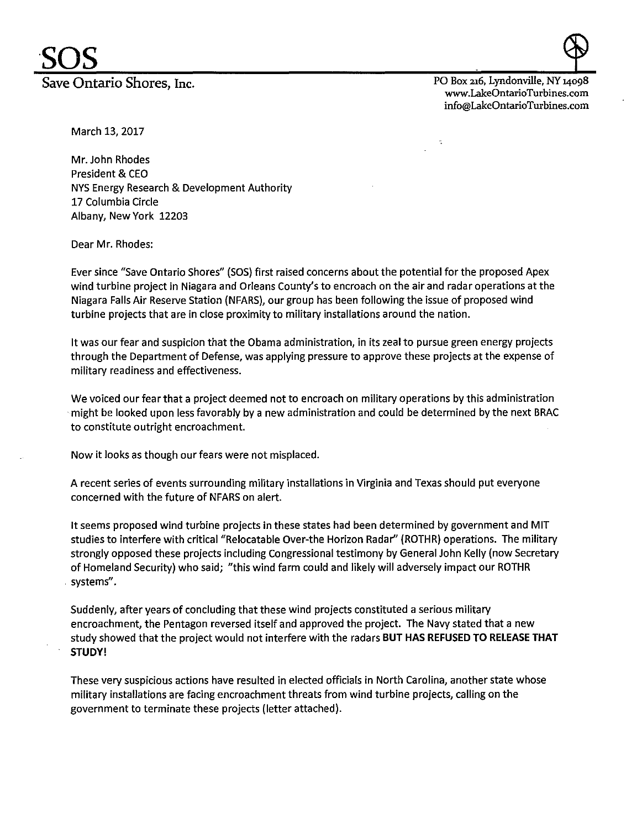PO Box 216, Lyndonville, NY J4098 www.LakeOntarioTurbines.com info@LakeOntarioTurbines.com

March 13, 2017

Mr. John Rhodes President & CEO NYS Energy Research & Development Authority 17 Columbia Circle Albany, New York 12203

Dear Mr. Rhodes:

Ever since "Save Ontario Shores" (SOS) first raised concerns about the potential for the proposed Apex wind turbine project in Niagara and Orleans County's to encroach on the air and radar operations at the Niagara Falls Air Reserve Station (NFARS), our group has been following the issue of proposed wind turbine projects that are in close proximity to military installations around the nation.

It was our fear and suspicion that the Obama administration, in its zeal to pursue green energy projects through the Department of Defense, was applying pressure to approve these projects at the expense of military readiness and effectiveness.

We voiced our fear that a project deemed not to encroach on military operations by this administration ·might be looked upon less favorably by a new administration and could be determined by the next BRAC to constitute outright encroachment.

Now it looks as though our fears were not misplaced.

A recent series of events surrounding military installations in Virginia and Texas should put everyone concerned with the future of NFARS on alert.

It seems proposed wind turbine projects in these states had been determined by government and MIT studies to interfere with critical "Relocatable Over-the Horizon Radar" (ROTHR) operations. The military strongly opposed these projects including Congressional testimony by General John Kelly (now Secretary of Homeland Security) who said; "this wind farm could and likely will adversely impact our ROTHR systems".

Suddenly, after years of concluding that these wind projects constituted a serious military encroachment, the Pentagon reversed itself and approved the project. The Navy stated that a new study showed that the project would not interfere with the radars **BUT HAS REFUSED TO RELEASE THAT STUDY!** 

These very suspicious actions have resulted in elected officials in North Carolina, another state whose military installations are facing encroachment threats from wind turbine projects, calling on the government to terminate these projects (letter attached).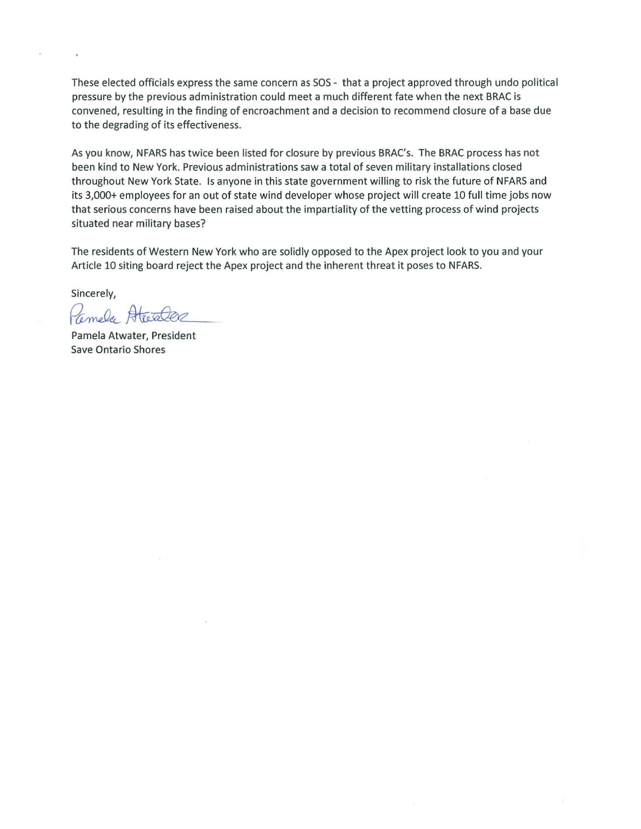These elected officials express the same concern as SOS - that a project approved through undo political pressure by the previous administration could meet a much different fate when the next BRAC is convened, resulting in the finding of encroachment and a decision to recommend closure of a base due to the degrading of its effectiveness.

As you know, NFARS has twice been listed for closure by previous BRAC's. The BRAC process has not been kind to New York. Previous administrations saw a total of seven military installations closed throughout New York State. Is anyone in this state government willing to risk the future of NFARS and its 3,000+ employees for an out of state wind developer whose project will create 10 full time jobs now that serious concerns have been raised about the impartiality of the vetting process of wind projects situated near military bases?

The residents of Western New York who are solidly opposed to the Apex project look to you and your Article 10 siting board reject the Apex project and the inherent threat it poses to NFARS.

Sincerely,

Camela AtetaCer

Save Ontario Shores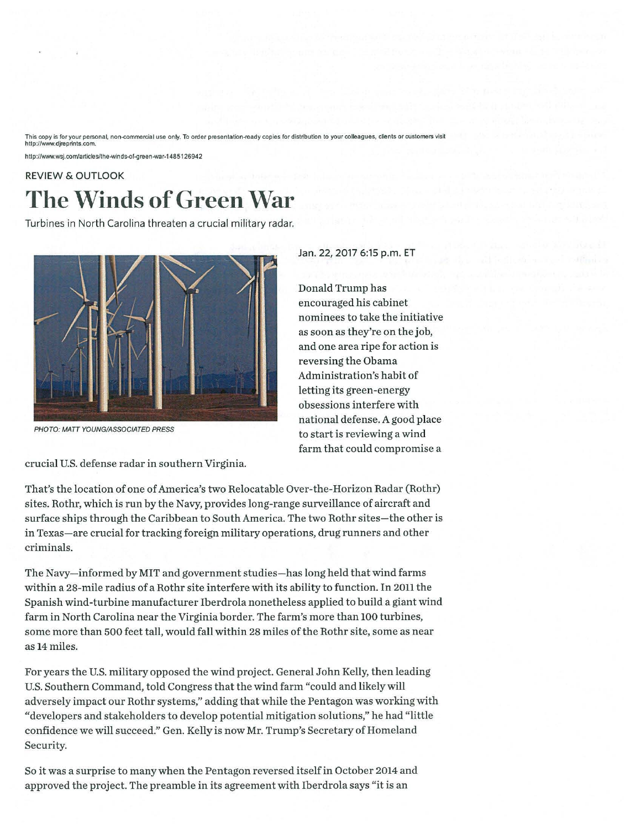This copy is for your personal, non-commercial use only. To order presentation-ready copies for distribution to your colleagues, clients or customers visit http://www.djreprints.com.

http://www.wsj.com/articles/the-winds-of-green-war-1485126942

## REVIEW & OUTLOOK **The Winds of Green War**

Turbines in North Carolina threaten a crucial military radar.



PHOTO: MATT YOUNG/ASSOCIATED PRESS

crucial U.S. defense radar in southern Virginia.

That's the location of one of America's two Relocatable Over-the-Horizon Radar (Rothr) sites. Rothr, which is run by the Navy, provides long-range surveillance of aircraft and surface ships through the Caribbean to South America. The two Rothr sites-the other is in Texas-are crucial for tracking foreign military operations, drug runners and other criminals.

The Navy-informed by MIT and government studies-has long held that wind farms within a 28-mile radius of a Rothr site interfere with its ability to function. In 2011 the Spanish wind-turbine manufacturer Iberdrola nonetheless applied to build a giant wind farm in North Carolina near the Virginia border. The farm's more than 100 turbines, some more than 500 feet tall, would fall within 28 miles of the Rothr site, some as near as 14 miles.

For years the U.S. military opposed the wind project. General John Kelly, then leading U.S. Southern Command, told Congress that the wind farm "could and likely will adversely impact our Rothr systems," adding that while the Pentagon was working with "developers and stakeholders to develop potential mitigation solutions," he had "little confidence we will succeed." Gen. Kelly is now Mr. Trump's Secretary of Homeland Security.

So it was a surprise to many when the Pentagon reversed itself in October 2014 and approved the project. The preamble in its agreement with Iberdrola says "it is an

Jan. 22, 2017 6:15 p.m. ET

Donald Trump has encouraged his cabinet nominees to take the initiative as soon as they're on the job, and one area ripe for action is reversing the Obama Administration's habit of letting its green-energy obsessions interfere with national defense. A good place to start is reviewing a wind farm that could compromise a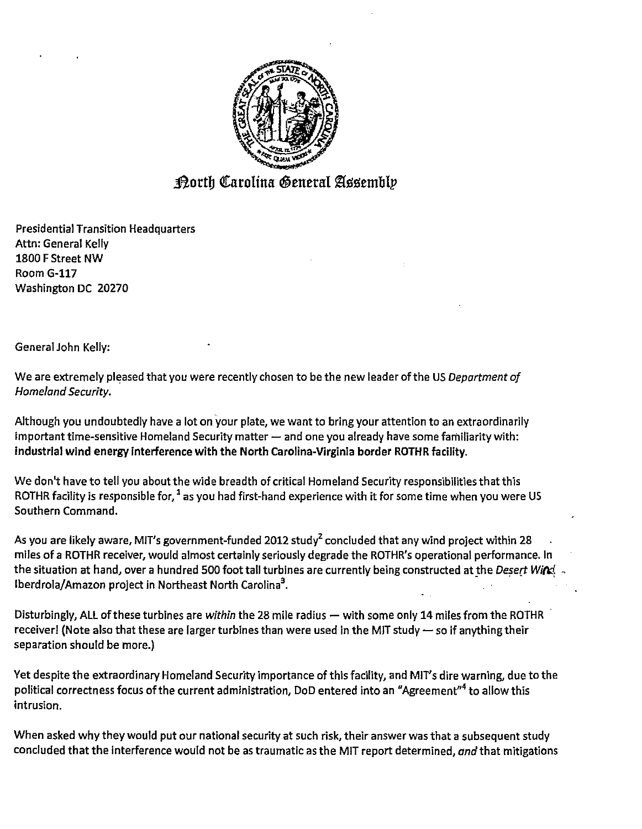

## Dorth Carolina General Assembly

Presidential Transition Headquarters Attn: General Kelly 1800 F Street NW Room G-117 Washington DC 20270

General John Kelly:

We are extremely pleased that you were recently chosen to be the new leader of the US *Department of Homeland Security.* 

Although you undoubtedly have a lot on your plate, we want to bring your attention to an extraordinarily important time-sensitive Homeland Security matter  $-$  and one you already have some familiarity with: industrial wind energy interference with the North Carolina-Virginia border ROTHR facility.

We don't have to tell you about the wide breadth of critical Homeland Security responsibilities that this ROTHR facility is responsible for,  $1$  as you had first-hand experience with it for some time when you were US Southern Command.

As you are likely aware, MIT's government-funded 2012 study<sup>2</sup> concluded that any wind project within 28 miles of a ROTHR receiver, would almost certainly seriously degrade the ROTHR's operational performance. In the situation at hand, over a hundred 500 foot tall turbines are currently being constructed at the *Desert WiM* - Iberdrola/Amazon project in Northeast North Carolina<sup>3</sup>.

Disturbingly, ALL of these turbines are *within* the 28 mile radius - with some only 14 miles from the ROTHR receiver! (Note also that these are larger turbines than were used in the MIT study  $-$  so if anything their separation should be more.)

Yet despite the extraordinary Homeland Security importance of this facility, and MIT's dire warning, due to the political correctness focus of the current administration, DoD entered into an "Agreement"4 to allow this intrusion.

When asked why they would put our national security at such risk, their answer was that a subsequent study concluded that the interference would not be as traumatic as the MIT report determined, *and* that mitigations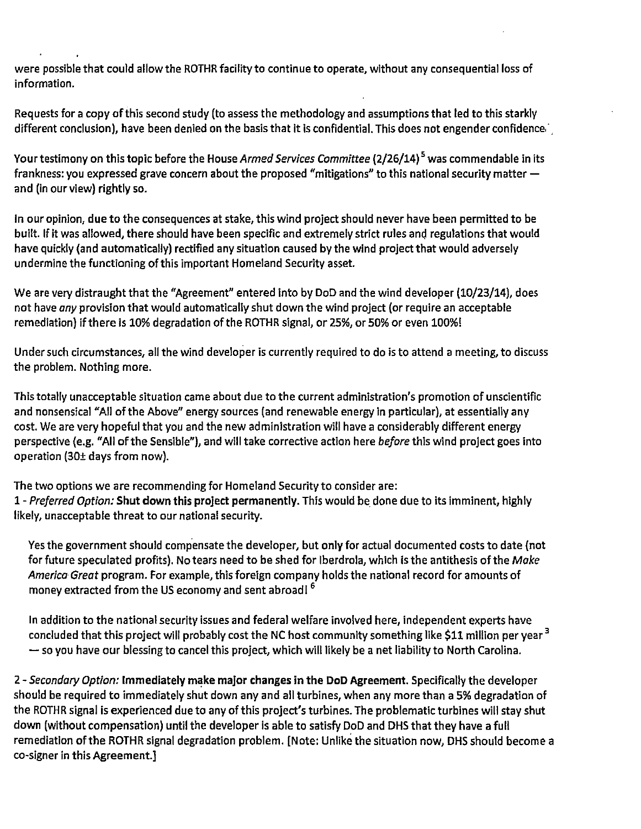were possible that could allow the ROTHR facility to continue to operate, without any consequential loss of information.

Requests for a copy of this second study (to assess the methodology and assumptions that led to this starkly different conclusion), have been denied on the basis that it is confidential. This does not engender confidence,

Your testimony on this topic before the House *Armed Services Committee* (2/26/14) 5 was commendable in its frankness: you expressed grave concern about the proposed "mitigations" to this national security matter and (in our view) rightly so.

In our opinion, due to the consequences at stake, this wind project should never have been permitted to be built. If it was allowed, there should have been specific and extremely strict rules and regulations that would have quickly (and automatically) rectified any situation caused by the wind project that would adversely undermine the functioning of this important Homeland Security asset.

We are very distraught that the "Agreement" entered into by DoD and the wind developer (10/23/14), does not have *any* provision that would automatically shut down the wind project (or require an acceptable remediation) if there is 10% degradation of the ROTHR signal, or 25%, or 50% or even 100%!

Under such circumstances, all the wind developer is currently required to do is to attend a meeting, to discuss the problem. Nothing more.

This totally unacceptable situation came about due to the current administration's promotion of unscientific and nonsensical "All of the Above" energy sources (and renewable energy in particular), at essentially any cost. We are very hopeful that you and the new administration will have a considerably different energy perspective (e.g. "All of the Sensible"), and will take corrective action here *before* this wind project goes into operation (30± days from now).

The two options we are recommending for Homeland Security to consider are: 1 - *Preferred Option:* Shut down this project permanently. This would be. done due to its imminent, highly likely, unacceptable threat to our national security.

Yes the government should compensate the developer, but only for actual documented costs to date (not for future speculated profits). No tears need to be shed for Iberdrola, which is the antithesis of the *Make America Great* program. For example, this foreign company holds the national record for amounts of money extracted from the US economy and sent abroad!<sup>6</sup>

In addition to the national security issues and federal welfare involved here, independent experts have concluded that this project will probably cost the NC host community something like \$11 million per year <sup>3</sup>  $-$  so you have our blessing to cancel this project, which will likely be a net liability to North Carolina.

2 - Secondary Option: Immediately make major changes in the DoD Agreement. Specifically the developer should be required to immediately shut down any and all turbines, when any more than a 5% degradation of the ROTHR signal is experienced due to any of this project's turbines. The problematic turbines will stay shut down (without compensation) until the developer is able to satisfy DoD and OHS that they have a full remediation ofthe ROTHR signal degradation problem. [Note: Unlike the situation now, DHS should become a co-signer in this Agreement.]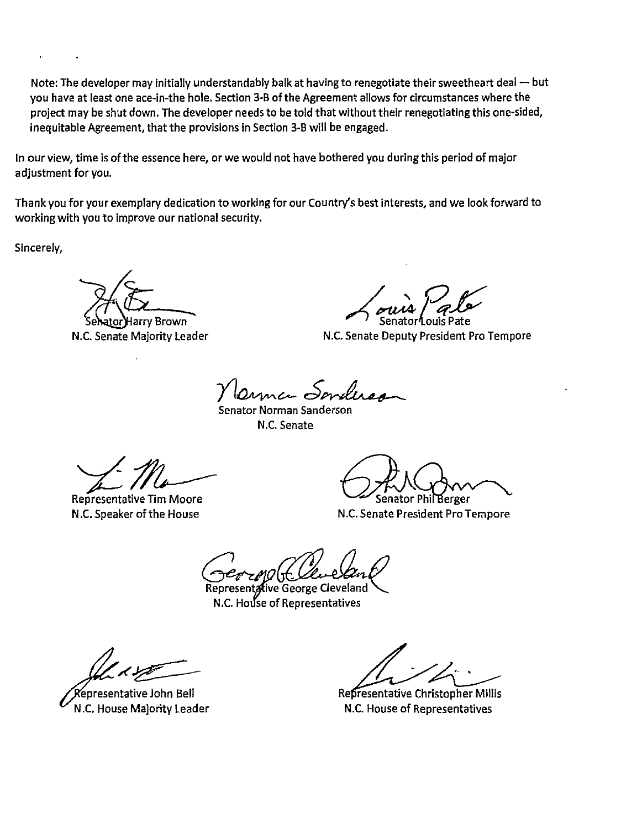Note: The developer may initially understandably balk at having to renegotiate their sweetheart deal  $-$  but you have at least one ace-in-the hole. Section 3-B of the Agreement allows for circumstances where the project may be shut down. The developer needs to be told that without their renegotiating this one-sided, inequitable Agreement, that the provisions in Section 3-B will be engaged.

In our view, time is of the essence here, or we would not have bothered you during this period of major adjustment for you.

Thank you for your exemplary dedication to working for our Country's best interests, and we look forward to working with you to improve our national security.

Sincerely,

~'~·- ,!~r8r£ N.C. Senate Majority Leader N.C. Senate Deputy President Pro Tempore

Y Onne Sendered<br>Senator Norman Sanderson

N.C. Senate

 $4/14$ 

N .C. Speaker of the House Representative Tim Moore

**COMPOSED Senator Phil Berger**<br>N.C. Senate President Pro Tempore

-=rt"...-M/ *(lfL!J.A /.}* 

ive George Cleveland N.C. House of Representatives

Xepresentative John Bell N.C. House Majority Leader

Representative Christopher Millis N.C. House of Representatives